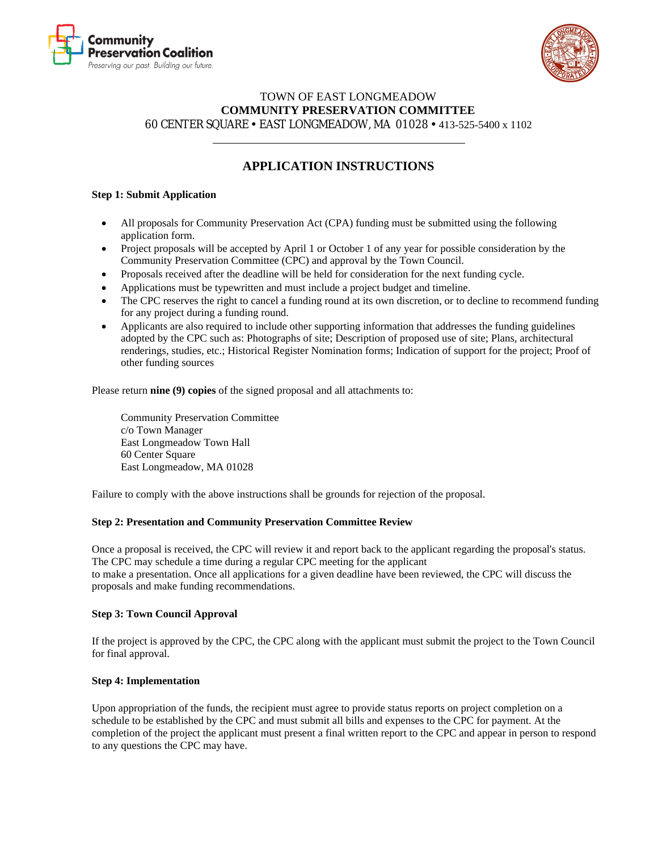



### TOWN OF EAST LONGMEADOW **COMMUNITY PRESERVATION COMMITTEE** 60 CENTER SQUARE EAST LONGMEADOW, MA 01028 413-525-5400 x 1102

# **APPLICATION INSTRUCTIONS**

#### **Step 1: Submit Application**

- All proposals for Community Preservation Act (CPA) funding must be submitted using the following application form.
- Project proposals will be accepted by April 1 or October 1 of any year for possible consideration by the Community Preservation Committee (CPC) and approval by the Town Council.
- Proposals received after the deadline will be held for consideration for the next funding cycle.
- Applications must be typewritten and must include a project budget and timeline.
- The CPC reserves the right to cancel a funding round at its own discretion, or to decline to recommend funding for any project during a funding round.
- Applicants are also required to include other supporting information that addresses the funding guidelines adopted by the CPC such as: Photographs of site; Description of proposed use of site; Plans, architectural renderings, studies, etc.; Historical Register Nomination forms; Indication of support for the project; Proof of other funding sources

Please return **nine (9) copies** of the signed proposal and all attachments to:

Community Preservation Committee c/o Town Manager East Longmeadow Town Hall 60 Center Square East Longmeadow, MA 01028

Failure to comply with the above instructions shall be grounds for rejection of the proposal.

#### **Step 2: Presentation and Community Preservation Committee Review**

Once a proposal is received, the CPC will review it and report back to the applicant regarding the proposal's status. The CPC may schedule a time during a regular CPC meeting for the applicant to make a presentation. Once all applications for a given deadline have been reviewed, the CPC will discuss the proposals and make funding recommendations.

### **Step 3: Town Council Approval**

If the project is approved by the CPC, the CPC along with the applicant must submit the project to the Town Council for final approval.

#### **Step 4: Implementation**

Upon appropriation of the funds, the recipient must agree to provide status reports on project completion on a schedule to be established by the CPC and must submit all bills and expenses to the CPC for payment. At the completion of the project the applicant must present a final written report to the CPC and appear in person to respond to any questions the CPC may have.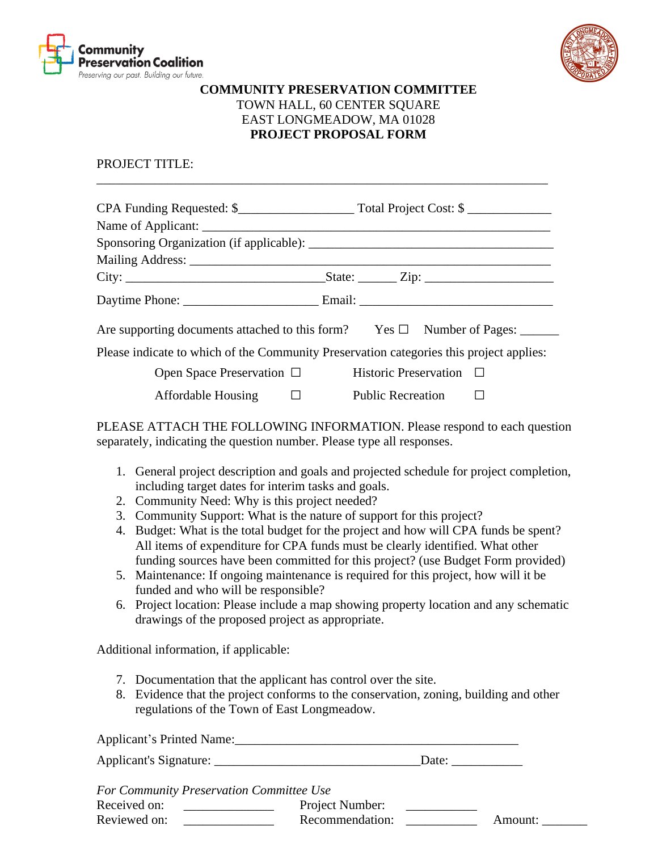



## **COMMUNITY PRESERVATION COMMITTEE** TOWN HALL, 60 CENTER SQUARE EAST LONGMEADOW, MA 01028 **PROJECT PROPOSAL FORM**

PROJECT TITLE:

| Are supporting documents attached to this form? Yes $\square$ Number of Pages: ______   |  |  |  |  |
|-----------------------------------------------------------------------------------------|--|--|--|--|
| Please indicate to which of the Community Preservation categories this project applies: |  |  |  |  |
| Open Space Preservation $\Box$ Historic Preservation $\Box$                             |  |  |  |  |
| Affordable Housing □ Public Recreation □                                                |  |  |  |  |

\_\_\_\_\_\_\_\_\_\_\_\_\_\_\_\_\_\_\_\_\_\_\_\_\_\_\_\_\_\_\_\_\_\_\_\_\_\_\_\_\_\_\_\_\_\_\_\_\_\_\_\_\_\_\_\_\_\_\_\_\_\_\_\_\_\_\_\_\_\_

PLEASE ATTACH THE FOLLOWING INFORMATION. Please respond to each question separately, indicating the question number. Please type all responses.

- 1. General project description and goals and projected schedule for project completion, including target dates for interim tasks and goals.
- 2. Community Need: Why is this project needed?
- 3. Community Support: What is the nature of support for this project?
- 4. Budget: What is the total budget for the project and how will CPA funds be spent? All items of expenditure for CPA funds must be clearly identified. What other funding sources have been committed for this project? (use Budget Form provided)
- 5. Maintenance: If ongoing maintenance is required for this project, how will it be funded and who will be responsible?
- 6. Project location: Please include a map showing property location and any schematic drawings of the proposed project as appropriate.

Additional information, if applicable:

- 7. Documentation that the applicant has control over the site.
- 8. Evidence that the project conforms to the conservation, zoning, building and other regulations of the Town of East Longmeadow.

Applicant's Printed Name:\_\_\_\_\_\_\_\_\_\_\_\_\_\_\_\_\_\_\_\_\_\_\_\_\_\_\_\_\_\_\_\_\_\_\_\_\_\_\_\_\_\_\_\_

Applicant's Signature: \_\_\_\_\_\_\_\_\_\_\_\_\_\_\_\_\_\_\_\_\_\_\_\_\_\_\_\_\_\_\_\_Date: \_\_\_\_\_\_\_\_\_\_\_

*For Community Preservation Committee Use*

| Tor Community Lieservation Commune Osc |  |                 |  |         |
|----------------------------------------|--|-----------------|--|---------|
| Received on:                           |  | Project Number: |  |         |
| Reviewed on:                           |  | Recommendation: |  | Amount: |
|                                        |  |                 |  |         |